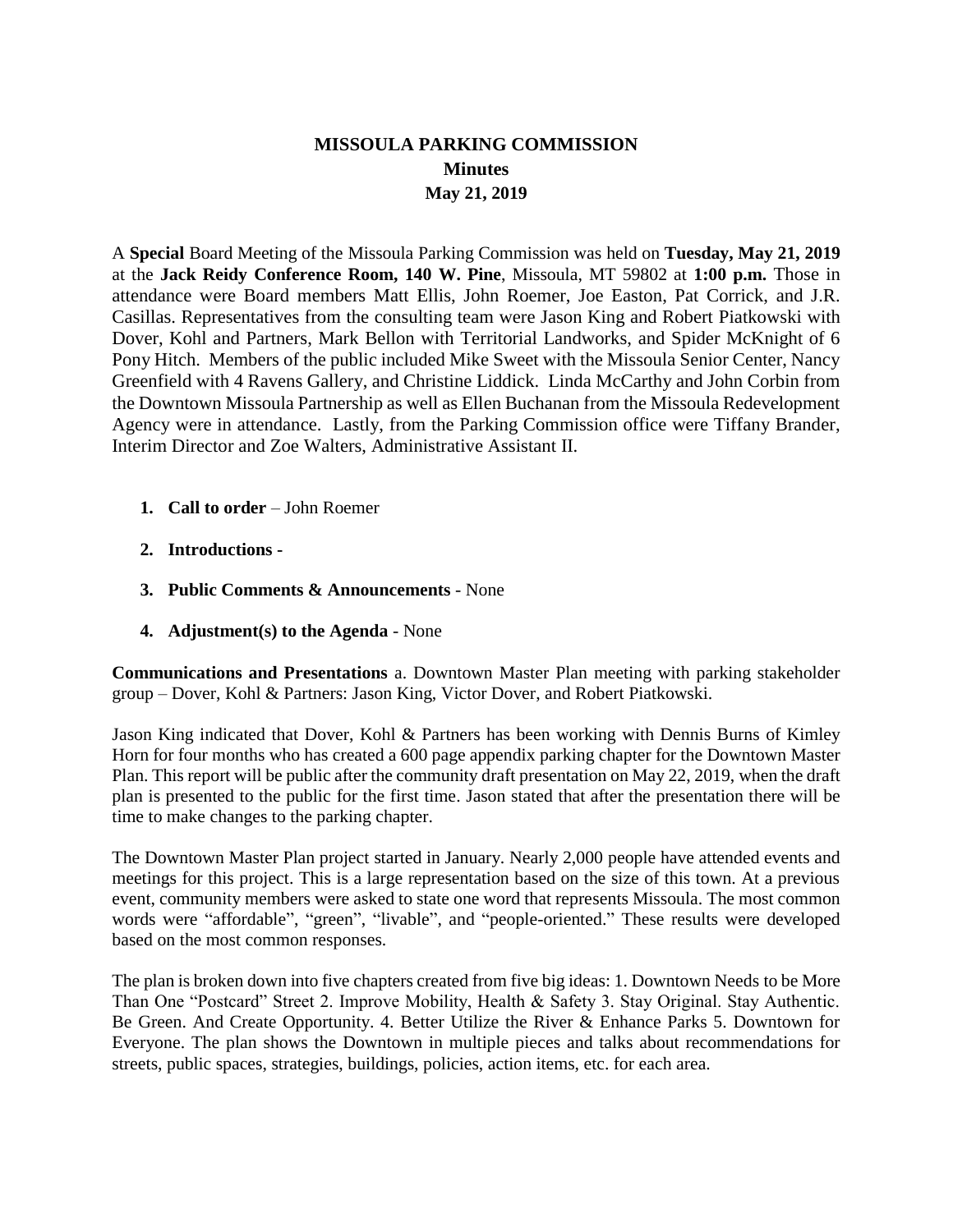## **MISSOULA PARKING COMMISSION Minutes May 21, 2019**

A **Special** Board Meeting of the Missoula Parking Commission was held on **Tuesday, May 21, 2019**  at the **Jack Reidy Conference Room, 140 W. Pine**, Missoula, MT 59802 at **1:00 p.m.** Those in attendance were Board members Matt Ellis, John Roemer, Joe Easton, Pat Corrick, and J.R. Casillas. Representatives from the consulting team were Jason King and Robert Piatkowski with Dover, Kohl and Partners, Mark Bellon with Territorial Landworks, and Spider McKnight of 6 Pony Hitch. Members of the public included Mike Sweet with the Missoula Senior Center, Nancy Greenfield with 4 Ravens Gallery, and Christine Liddick. Linda McCarthy and John Corbin from the Downtown Missoula Partnership as well as Ellen Buchanan from the Missoula Redevelopment Agency were in attendance. Lastly, from the Parking Commission office were Tiffany Brander, Interim Director and Zoe Walters, Administrative Assistant II.

- **1. Call to order**  John Roemer
- **2. Introductions -**
- **3. Public Comments & Announcements**  None
- **4. Adjustment(s) to the Agenda**  None

**Communications and Presentations** a. Downtown Master Plan meeting with parking stakeholder group – Dover, Kohl & Partners: Jason King, Victor Dover, and Robert Piatkowski.

Jason King indicated that Dover, Kohl & Partners has been working with Dennis Burns of Kimley Horn for four months who has created a 600 page appendix parking chapter for the Downtown Master Plan. This report will be public after the community draft presentation on May 22, 2019, when the draft plan is presented to the public for the first time. Jason stated that after the presentation there will be time to make changes to the parking chapter.

The Downtown Master Plan project started in January. Nearly 2,000 people have attended events and meetings for this project. This is a large representation based on the size of this town. At a previous event, community members were asked to state one word that represents Missoula. The most common words were "affordable", "green", "livable", and "people-oriented." These results were developed based on the most common responses.

The plan is broken down into five chapters created from five big ideas: 1. Downtown Needs to be More Than One "Postcard" Street 2. Improve Mobility, Health & Safety 3. Stay Original. Stay Authentic. Be Green. And Create Opportunity. 4. Better Utilize the River & Enhance Parks 5. Downtown for Everyone. The plan shows the Downtown in multiple pieces and talks about recommendations for streets, public spaces, strategies, buildings, policies, action items, etc. for each area.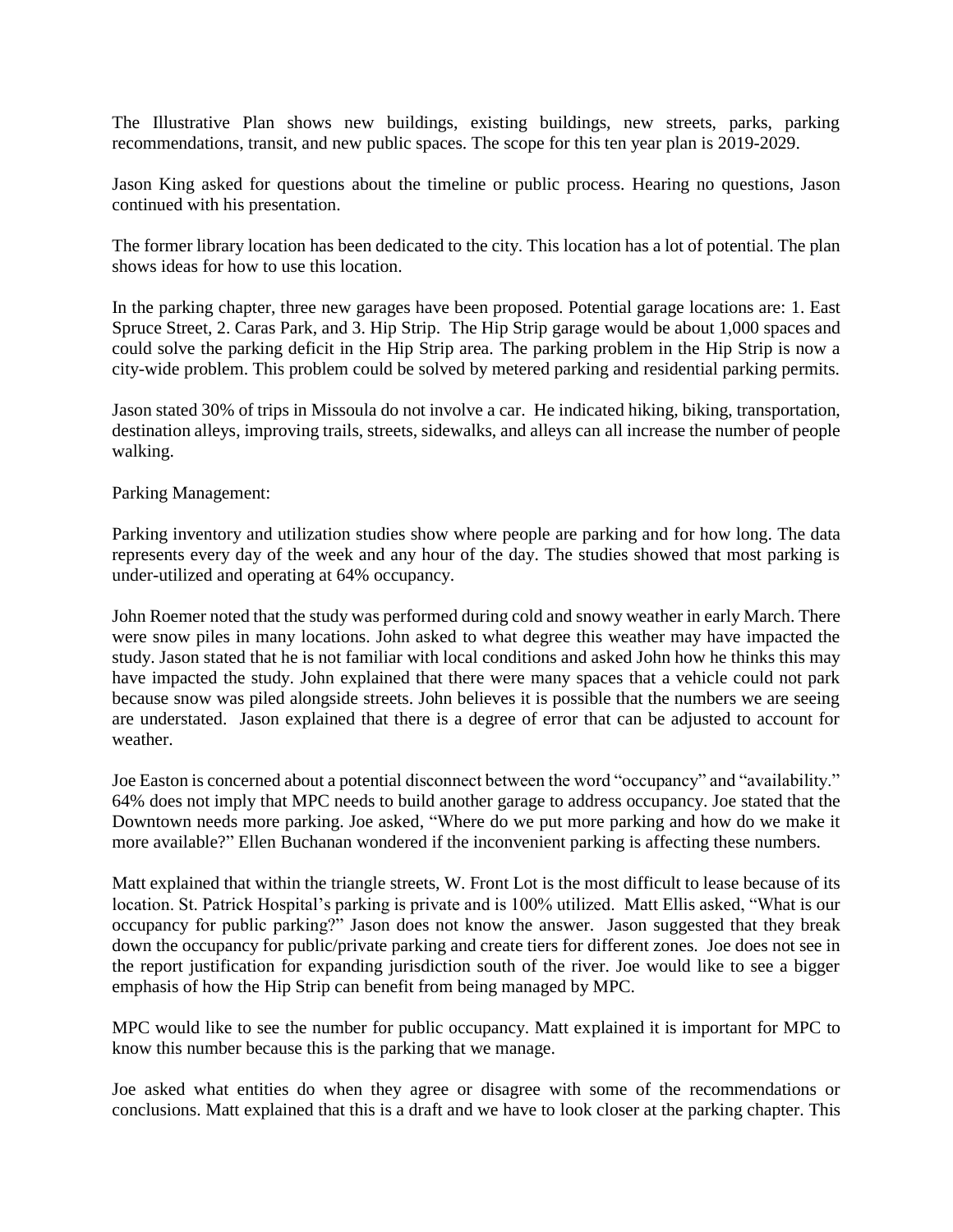The Illustrative Plan shows new buildings, existing buildings, new streets, parks, parking recommendations, transit, and new public spaces. The scope for this ten year plan is 2019-2029.

Jason King asked for questions about the timeline or public process. Hearing no questions, Jason continued with his presentation.

The former library location has been dedicated to the city. This location has a lot of potential. The plan shows ideas for how to use this location.

In the parking chapter, three new garages have been proposed. Potential garage locations are: 1. East Spruce Street, 2. Caras Park, and 3. Hip Strip. The Hip Strip garage would be about 1,000 spaces and could solve the parking deficit in the Hip Strip area. The parking problem in the Hip Strip is now a city-wide problem. This problem could be solved by metered parking and residential parking permits.

Jason stated 30% of trips in Missoula do not involve a car. He indicated hiking, biking, transportation, destination alleys, improving trails, streets, sidewalks, and alleys can all increase the number of people walking.

## Parking Management:

Parking inventory and utilization studies show where people are parking and for how long. The data represents every day of the week and any hour of the day. The studies showed that most parking is under-utilized and operating at 64% occupancy.

John Roemer noted that the study was performed during cold and snowy weather in early March. There were snow piles in many locations. John asked to what degree this weather may have impacted the study. Jason stated that he is not familiar with local conditions and asked John how he thinks this may have impacted the study. John explained that there were many spaces that a vehicle could not park because snow was piled alongside streets. John believes it is possible that the numbers we are seeing are understated. Jason explained that there is a degree of error that can be adjusted to account for weather.

Joe Easton is concerned about a potential disconnect between the word "occupancy" and "availability." 64% does not imply that MPC needs to build another garage to address occupancy. Joe stated that the Downtown needs more parking. Joe asked, "Where do we put more parking and how do we make it more available?" Ellen Buchanan wondered if the inconvenient parking is affecting these numbers.

Matt explained that within the triangle streets, W. Front Lot is the most difficult to lease because of its location. St. Patrick Hospital's parking is private and is 100% utilized. Matt Ellis asked, "What is our occupancy for public parking?" Jason does not know the answer. Jason suggested that they break down the occupancy for public/private parking and create tiers for different zones. Joe does not see in the report justification for expanding jurisdiction south of the river. Joe would like to see a bigger emphasis of how the Hip Strip can benefit from being managed by MPC.

MPC would like to see the number for public occupancy. Matt explained it is important for MPC to know this number because this is the parking that we manage.

Joe asked what entities do when they agree or disagree with some of the recommendations or conclusions. Matt explained that this is a draft and we have to look closer at the parking chapter. This